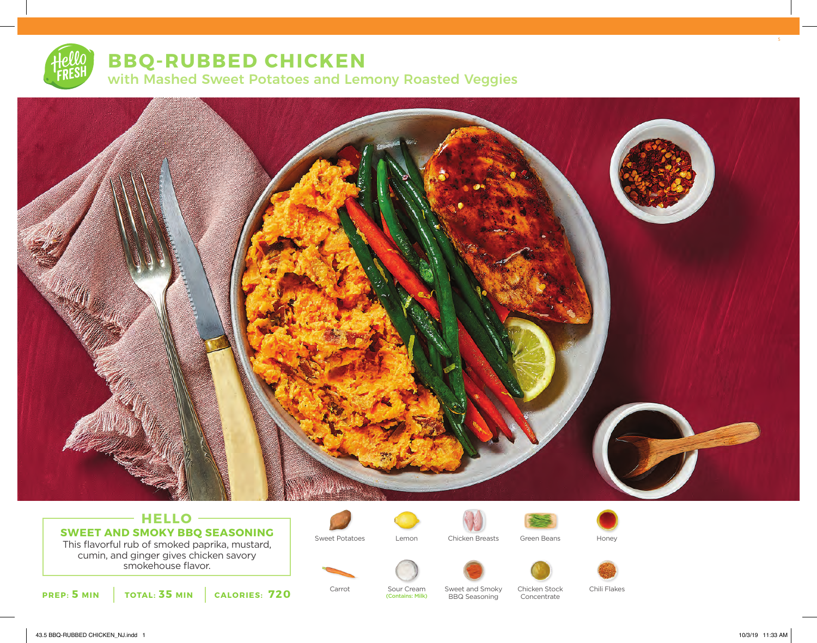# **BBQ-RUBBED CHICKEN** with Mashed Sweet Potatoes and Lemony Roasted Veggies



# **HELLO SWEET AND SMOKY BBQ SEASONING**

This flavorful rub of smoked paprika, mustard, cumin, and ginger gives chicken savory smokehouse flavor.







Sweet Potatoes Lemon Chicken Breasts Green Beans Honey





**PREP: 5 MIN TOTAL: 35 MIN CALORIES: 720**

BBQ Seasoning (Contains: Milk)

Carrot Sour Cream Sweet and Smoky Chicken Stock Chili Flakes Concentrate

5